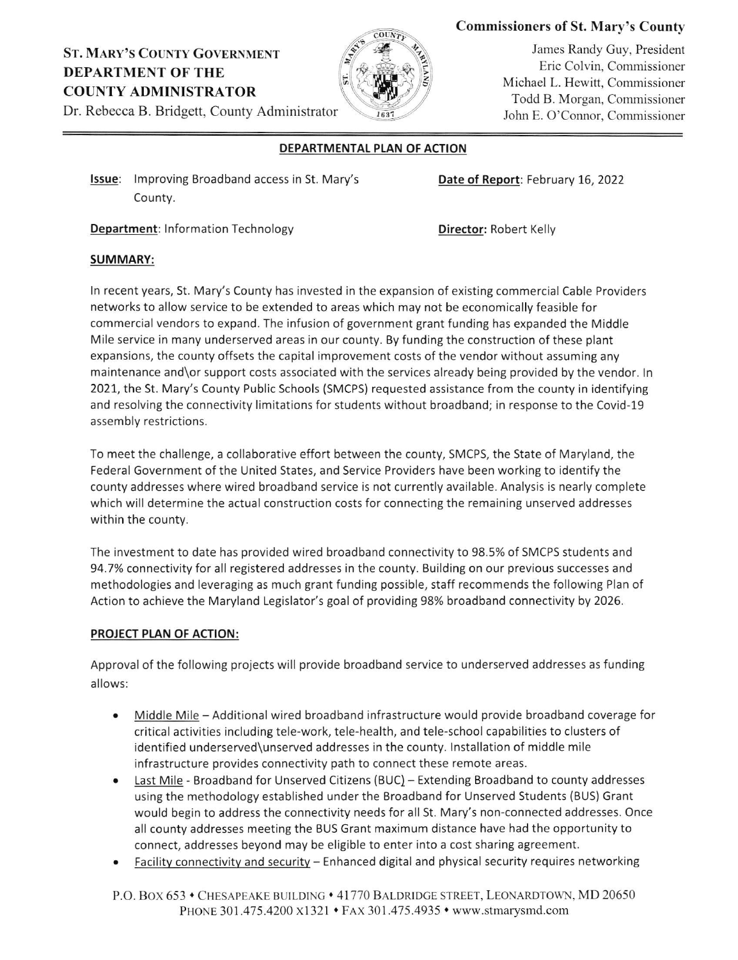# ST. MARY'S CoUNTY GoVERNMENT DEPARTMENT OF THE COUNTY ADMINISTRATOR



## Commissioners of St. Mary's County

James Randy Guy, President Eric Colvin, Commissioner Michael L. Hewitt, Commissioner Todd B. Morgan. Commissioner John E. O'Connor, Commissioner

Dr. Rebecca B. Bridgett, County Administrator

### DEPARTMENTAL PLAN OF ACTION

Issue: Improving Broadband access in St. Mary's County.

Date of Report: February 16, 2022

**Department:** Information Technology **Director: Robert Kelly** 

#### SUMMARY:

ln recent years, St. Mary's County has invested in the expansion of existing commercial Cable Providers networks to allow service to be extended to areas which may not be economically feasible for commercial vendors to expand. The infusion of government grant funding has expanded the Middle Mile service in many underserved areas in our county. By funding the construction of these plant expansions, the county offsets the capital improvement costs of the vendor without assuming any maintenance and\or support costs associated with the services already being provided by the vendor. ln 2021, the 5t. Mary's County Public Schools (5MCPS) requested assistance from the county in identifying and resolving the connectivity limitations for students without broadband; in response to the Covid-19 assembly restrictions.

To meet the challenge, a collaborative effort between the county, SMCPs, the State of Maryland, the Federal Government of the United States, and Service Providers have been working to identify the county addresses where wired broadband service is not currently available. Analysis is nearly complete which will determine the actual construction costs for connecting the remaining unserved addresses within the county.

The investment to date has provided wired broadband connectivity to 98.5% of SMCPS students and 94.7% connectivity for all registered addresses in the county. Building on our previous successes and methodologies and leveraging as much grant funding possible, staff recommends the following Plan of Action to achieve the Maryland Legislator's goal of providing 98% broadband connectivity by 2026.

### PROJECT PLAN OF ACTION:

Approval of the following projects will provide broadband service to underserved addresses as funding allows:

- Middle Mile Additional wired broadband infrastructure would provide broadband coverage for  $\bullet$ critical activities including tele-work, tele-health, and tele-school capabilities to clusters of identified underserved\unserved addresses in the county. Installation of middle mile infrastructure provides connectivity path to connect these remote areas.
- Last Mile Broadband for Unserved Citizens (BUC) Extending Broadband to county addresses  $\bullet$ using the methodology established under the Broadband for Unserved Students (BUS) Grant would begin to address the connectivity needs for all St. Mary's non-connected addresses. Once all county addresses meeting the BUS Grant maximum distance have had the opportunity to connect, addresses beyond may be eligible to enter into a cost sharing agreement.
- Facility connectivity and security Enhanced digital and physical security requires networking

P.O. Box 653 • CHESAPEAKE BUILDING • 41770 BALDRIDGE STREET, LEONARDTOWN, MD 20650 PHONE 301.475.4200 x1321 . FAX 301.475.4935 . www.stmarysmd.com